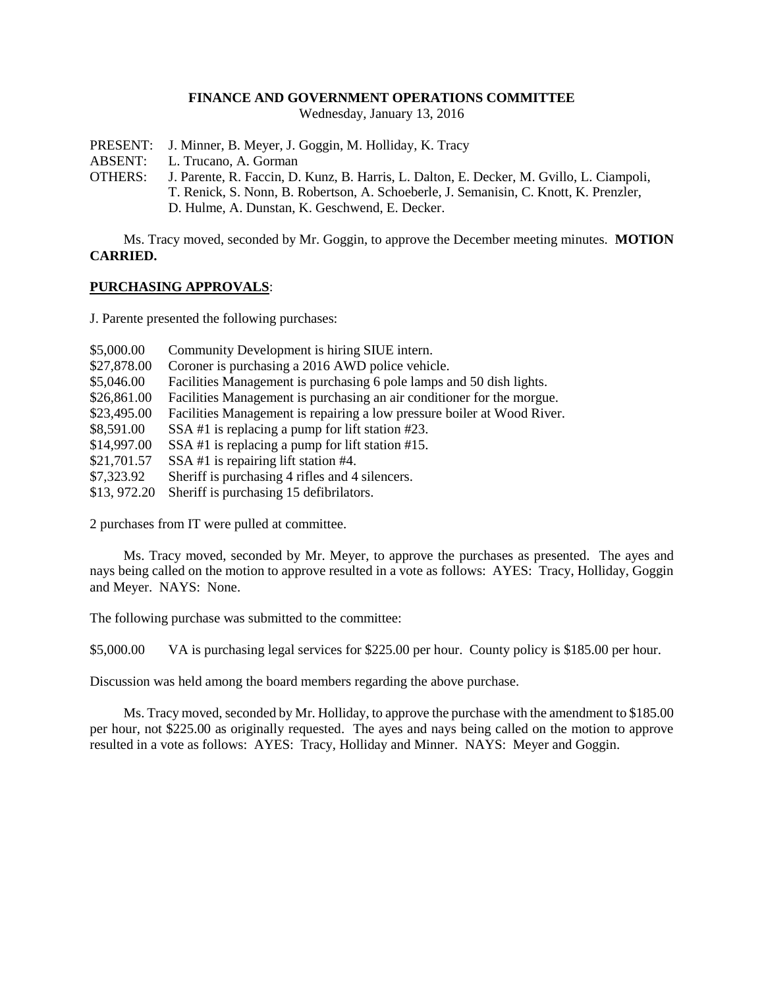## **FINANCE AND GOVERNMENT OPERATIONS COMMITTEE**

Wednesday, January 13, 2016

- PRESENT: J. Minner, B. Meyer, J. Goggin, M. Holliday, K. Tracy
- ABSENT: L. Trucano, A. Gorman
- OTHERS: J. Parente, R. Faccin, D. Kunz, B. Harris, L. Dalton, E. Decker, M. Gvillo, L. Ciampoli, T. Renick, S. Nonn, B. Robertson, A. Schoeberle, J. Semanisin, C. Knott, K. Prenzler, D. Hulme, A. Dunstan, K. Geschwend, E. Decker.

Ms. Tracy moved, seconded by Mr. Goggin, to approve the December meeting minutes. **MOTION CARRIED.**

# **PURCHASING APPROVALS**:

J. Parente presented the following purchases:

| \$5,000.00  | Community Development is hiring SIUE intern.                            |
|-------------|-------------------------------------------------------------------------|
| \$27,878.00 | Coroner is purchasing a 2016 AWD police vehicle.                        |
| \$5,046.00  | Facilities Management is purchasing 6 pole lamps and 50 dish lights.    |
| \$26,861.00 | Facilities Management is purchasing an air conditioner for the morgue.  |
| \$23,495.00 | Facilities Management is repairing a low pressure boiler at Wood River. |
| \$8,591.00  | SSA #1 is replacing a pump for lift station #23.                        |
| \$14,997.00 | SSA #1 is replacing a pump for lift station #15.                        |
| \$21,701.57 | SSA #1 is repairing lift station #4.                                    |
| \$7,323.92  | Sheriff is purchasing 4 rifles and 4 silencers.                         |
| \$13,972.20 | Sheriff is purchasing 15 defibrilators.                                 |

2 purchases from IT were pulled at committee.

Ms. Tracy moved, seconded by Mr. Meyer, to approve the purchases as presented. The ayes and nays being called on the motion to approve resulted in a vote as follows: AYES: Tracy, Holliday, Goggin and Meyer. NAYS: None.

The following purchase was submitted to the committee:

\$5,000.00 VA is purchasing legal services for \$225.00 per hour. County policy is \$185.00 per hour.

Discussion was held among the board members regarding the above purchase.

Ms. Tracy moved, seconded by Mr. Holliday, to approve the purchase with the amendment to \$185.00 per hour, not \$225.00 as originally requested. The ayes and nays being called on the motion to approve resulted in a vote as follows: AYES: Tracy, Holliday and Minner. NAYS: Meyer and Goggin.